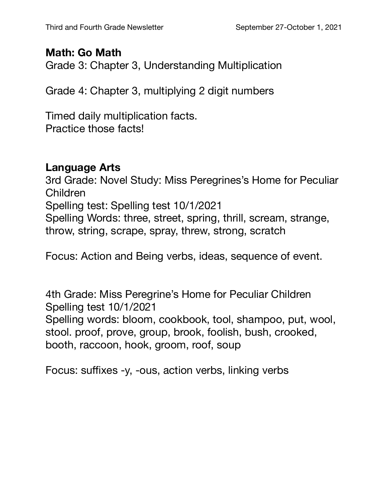## **Math: Go Math**

Grade 3: Chapter 3, Understanding Multiplication

Grade 4: Chapter 3, multiplying 2 digit numbers

Timed daily multiplication facts. Practice those facts!

## **Language Arts**

3rd Grade: Novel Study: Miss Peregrines's Home for Peculiar Children Spelling test: Spelling test 10/1/2021 Spelling Words: three, street, spring, thrill, scream, strange, throw, string, scrape, spray, threw, strong, scratch

Focus: Action and Being verbs, ideas, sequence of event.

4th Grade: Miss Peregrine's Home for Peculiar Children Spelling test 10/1/2021 Spelling words: bloom, cookbook, tool, shampoo, put, wool, stool. proof, prove, group, brook, foolish, bush, crooked, booth, raccoon, hook, groom, roof, soup

Focus: suffixes -y, -ous, action verbs, linking verbs